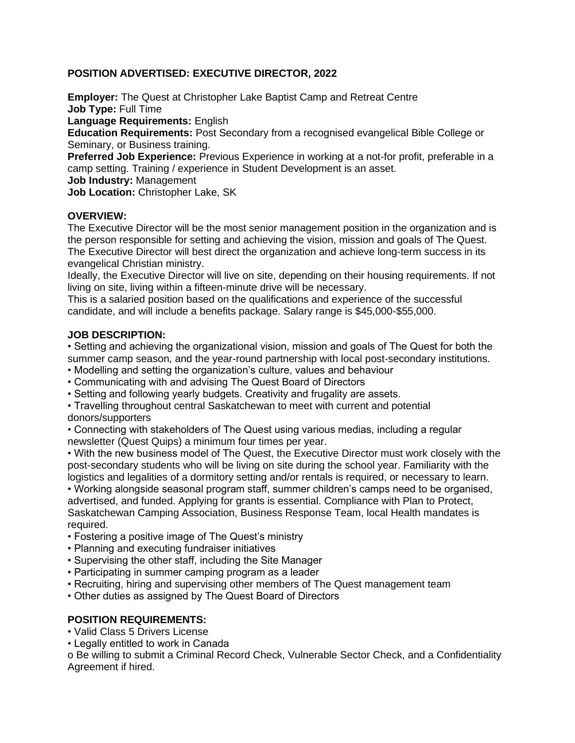## **POSITION ADVERTISED: EXECUTIVE DIRECTOR, 2022**

**Employer:** The Quest at Christopher Lake Baptist Camp and Retreat Centre **Job Type:** Full Time

**Language Requirements:** English

**Education Requirements:** Post Secondary from a recognised evangelical Bible College or Seminary, or Business training.

**Preferred Job Experience:** Previous Experience in working at a not-for profit, preferable in a camp setting. Training / experience in Student Development is an asset.

**Job Industry:** Management

**Job Location:** Christopher Lake, SK

### **OVERVIEW:**

The Executive Director will be the most senior management position in the organization and is the person responsible for setting and achieving the vision, mission and goals of The Quest. The Executive Director will best direct the organization and achieve long-term success in its evangelical Christian ministry.

Ideally, the Executive Director will live on site, depending on their housing requirements. If not living on site, living within a fifteen-minute drive will be necessary.

This is a salaried position based on the qualifications and experience of the successful candidate, and will include a benefits package. Salary range is \$45,000-\$55,000.

### **JOB DESCRIPTION:**

• Setting and achieving the organizational vision, mission and goals of The Quest for both the summer camp season, and the year-round partnership with local post-secondary institutions.

- Modelling and setting the organization's culture, values and behaviour
- Communicating with and advising The Quest Board of Directors
- Setting and following yearly budgets. Creativity and frugality are assets.

• Travelling throughout central Saskatchewan to meet with current and potential donors/supporters

• Connecting with stakeholders of The Quest using various medias, including a regular newsletter (Quest Quips) a minimum four times per year.

• With the new business model of The Quest, the Executive Director must work closely with the post-secondary students who will be living on site during the school year. Familiarity with the logistics and legalities of a dormitory setting and/or rentals is required, or necessary to learn.

• Working alongside seasonal program staff, summer children's camps need to be organised, advertised, and funded. Applying for grants is essential. Compliance with Plan to Protect, Saskatchewan Camping Association, Business Response Team, local Health mandates is required.

- Fostering a positive image of The Quest's ministry
- Planning and executing fundraiser initiatives
- Supervising the other staff, including the Site Manager
- Participating in summer camping program as a leader
- Recruiting, hiring and supervising other members of The Quest management team
- Other duties as assigned by The Quest Board of Directors

### **POSITION REQUIREMENTS:**

- Valid Class 5 Drivers License
- Legally entitled to work in Canada

o Be willing to submit a Criminal Record Check, Vulnerable Sector Check, and a Confidentiality Agreement if hired.